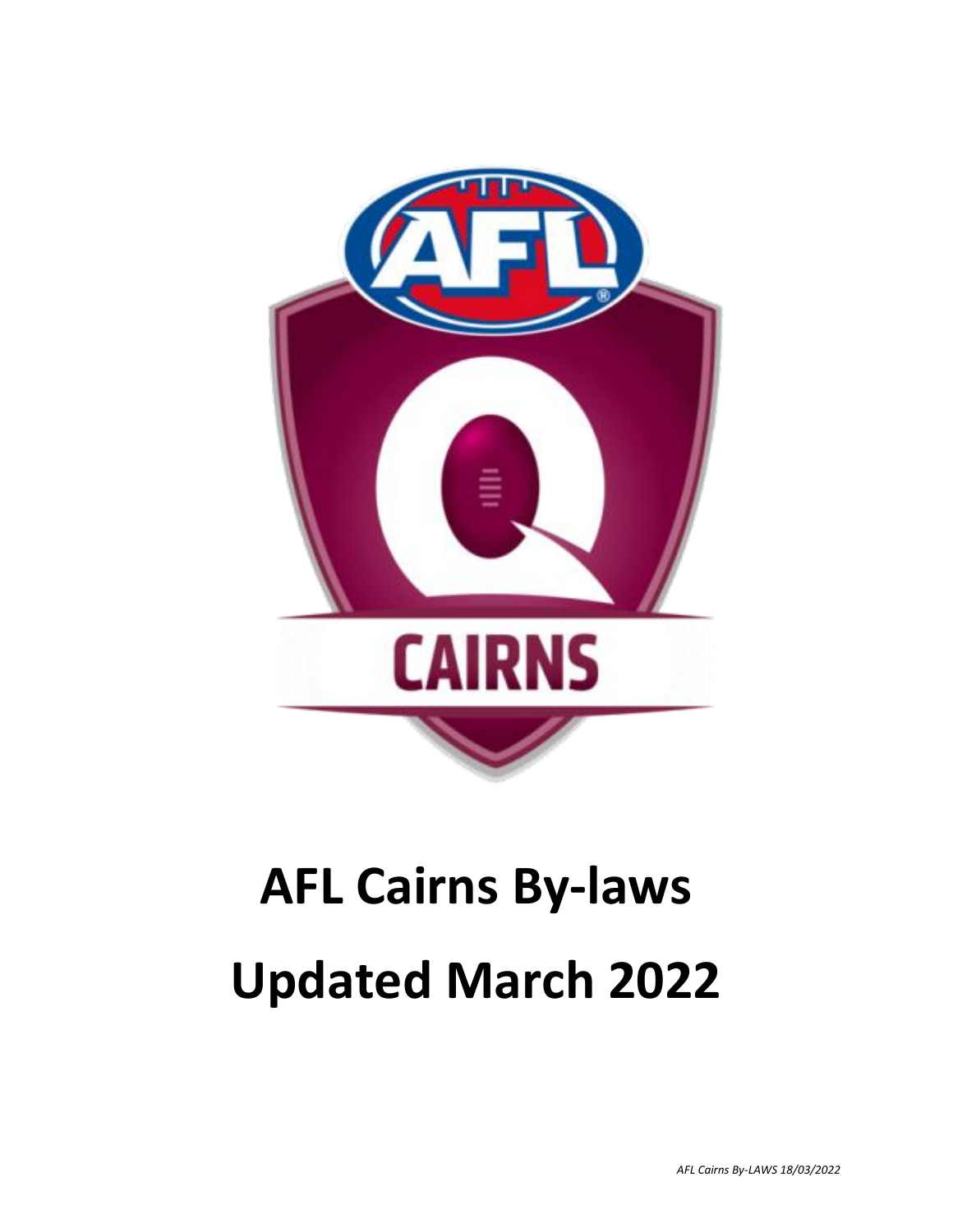

# **AFL Cairns By-laws Updated March 2022**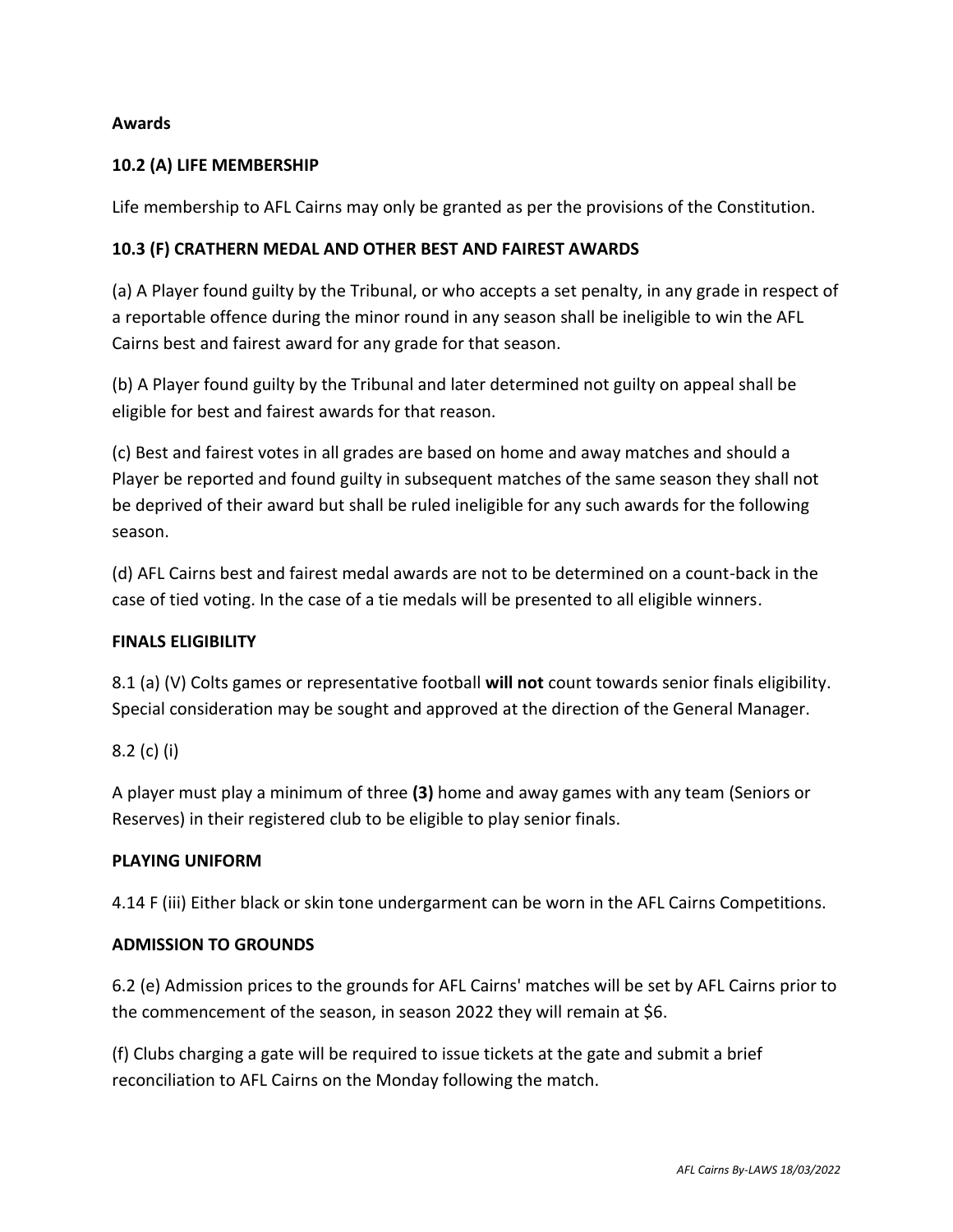## **Awards**

## **10.2 (A) LIFE MEMBERSHIP**

Life membership to AFL Cairns may only be granted as per the provisions of the Constitution.

#### **10.3 (F) CRATHERN MEDAL AND OTHER BEST AND FAIREST AWARDS**

(a) A Player found guilty by the Tribunal, or who accepts a set penalty, in any grade in respect of a reportable offence during the minor round in any season shall be ineligible to win the AFL Cairns best and fairest award for any grade for that season.

(b) A Player found guilty by the Tribunal and later determined not guilty on appeal shall be eligible for best and fairest awards for that reason.

(c) Best and fairest votes in all grades are based on home and away matches and should a Player be reported and found guilty in subsequent matches of the same season they shall not be deprived of their award but shall be ruled ineligible for any such awards for the following season.

(d) AFL Cairns best and fairest medal awards are not to be determined on a count-back in the case of tied voting. In the case of a tie medals will be presented to all eligible winners.

## **FINALS ELIGIBILITY**

8.1 (a) (V) Colts games or representative football **will not** count towards senior finals eligibility. Special consideration may be sought and approved at the direction of the General Manager.

8.2 (c) (i)

A player must play a minimum of three **(3)** home and away games with any team (Seniors or Reserves) in their registered club to be eligible to play senior finals.

## **PLAYING UNIFORM**

4.14 F (iii) Either black or skin tone undergarment can be worn in the AFL Cairns Competitions.

#### **ADMISSION TO GROUNDS**

6.2 (e) Admission prices to the grounds for AFL Cairns' matches will be set by AFL Cairns prior to the commencement of the season, in season 2022 they will remain at \$6.

(f) Clubs charging a gate will be required to issue tickets at the gate and submit a brief reconciliation to AFL Cairns on the Monday following the match.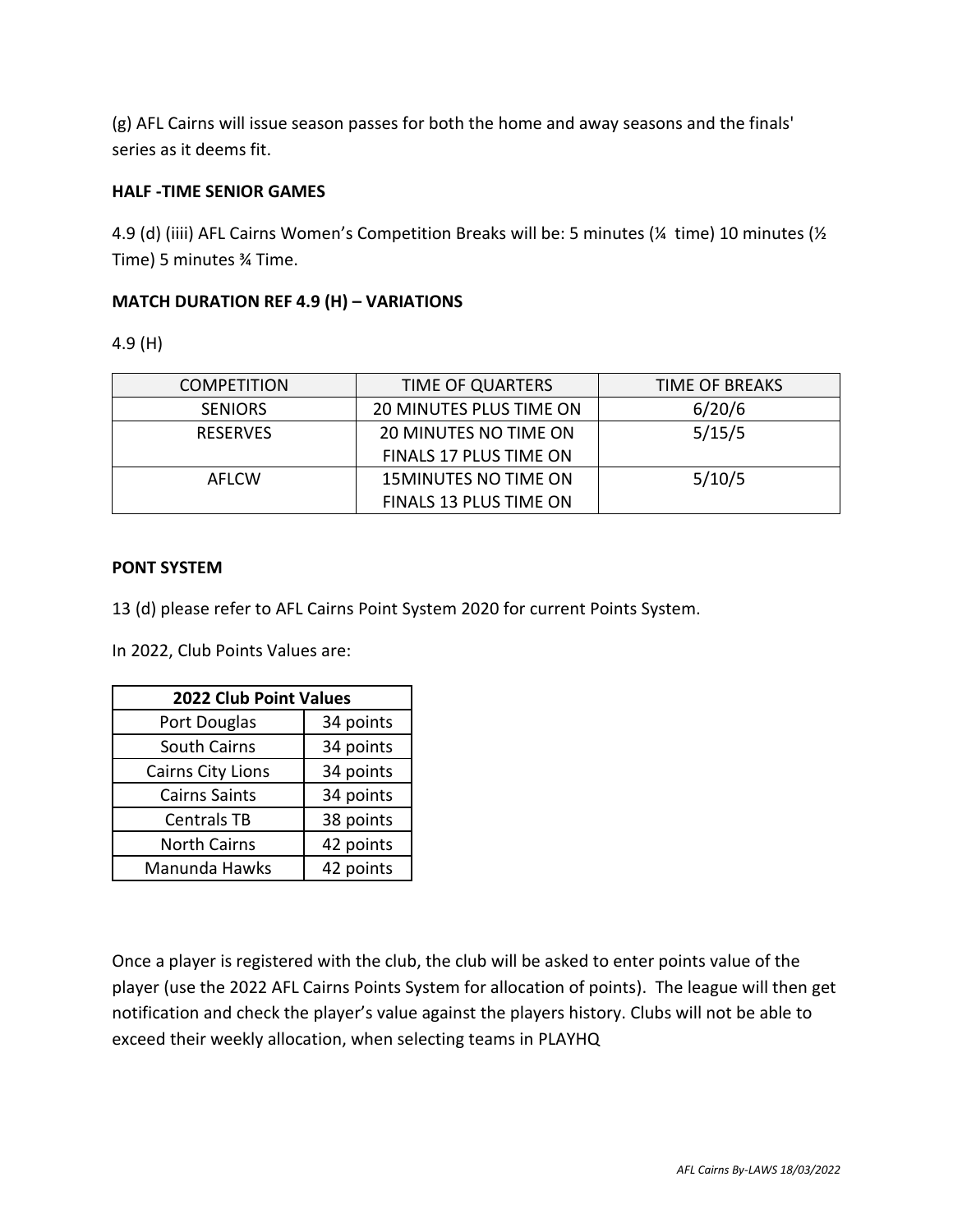(g) AFL Cairns will issue season passes for both the home and away seasons and the finals' series as it deems fit.

## **HALF -TIME SENIOR GAMES**

4.9 (d) (iiii) AFL Cairns Women's Competition Breaks will be: 5 minutes (¼ time) 10 minutes (½ Time) 5 minutes ¾ Time.

#### **MATCH DURATION REF 4.9 (H) – VARIATIONS**

4.9 (H)

| <b>COMPETITION</b> | TIME OF QUARTERS              | TIME OF BREAKS |
|--------------------|-------------------------------|----------------|
| <b>SENIORS</b>     | 20 MINUTES PLUS TIME ON       | 6/20/6         |
| <b>RESERVES</b>    | 20 MINUTES NO TIME ON         | 5/15/5         |
|                    | <b>FINALS 17 PLUS TIME ON</b> |                |
| AFLCW              | <b>15MINUTES NO TIME ON</b>   | 5/10/5         |
|                    | FINALS 13 PLUS TIME ON        |                |

#### **PONT SYSTEM**

13 (d) please refer to AFL Cairns Point System 2020 for current Points System.

In 2022, Club Points Values are:

| 2022 Club Point Values   |           |  |
|--------------------------|-----------|--|
| Port Douglas             | 34 points |  |
| <b>South Cairns</b>      | 34 points |  |
| <b>Cairns City Lions</b> | 34 points |  |
| <b>Cairns Saints</b>     | 34 points |  |
| <b>Centrals TB</b>       | 38 points |  |
| <b>North Cairns</b>      | 42 points |  |
| Manunda Hawks            | 42 points |  |

Once a player is registered with the club, the club will be asked to enter points value of the player (use the 2022 AFL Cairns Points System for allocation of points). The league will then get notification and check the player's value against the players history. Clubs will not be able to exceed their weekly allocation, when selecting teams in PLAYHQ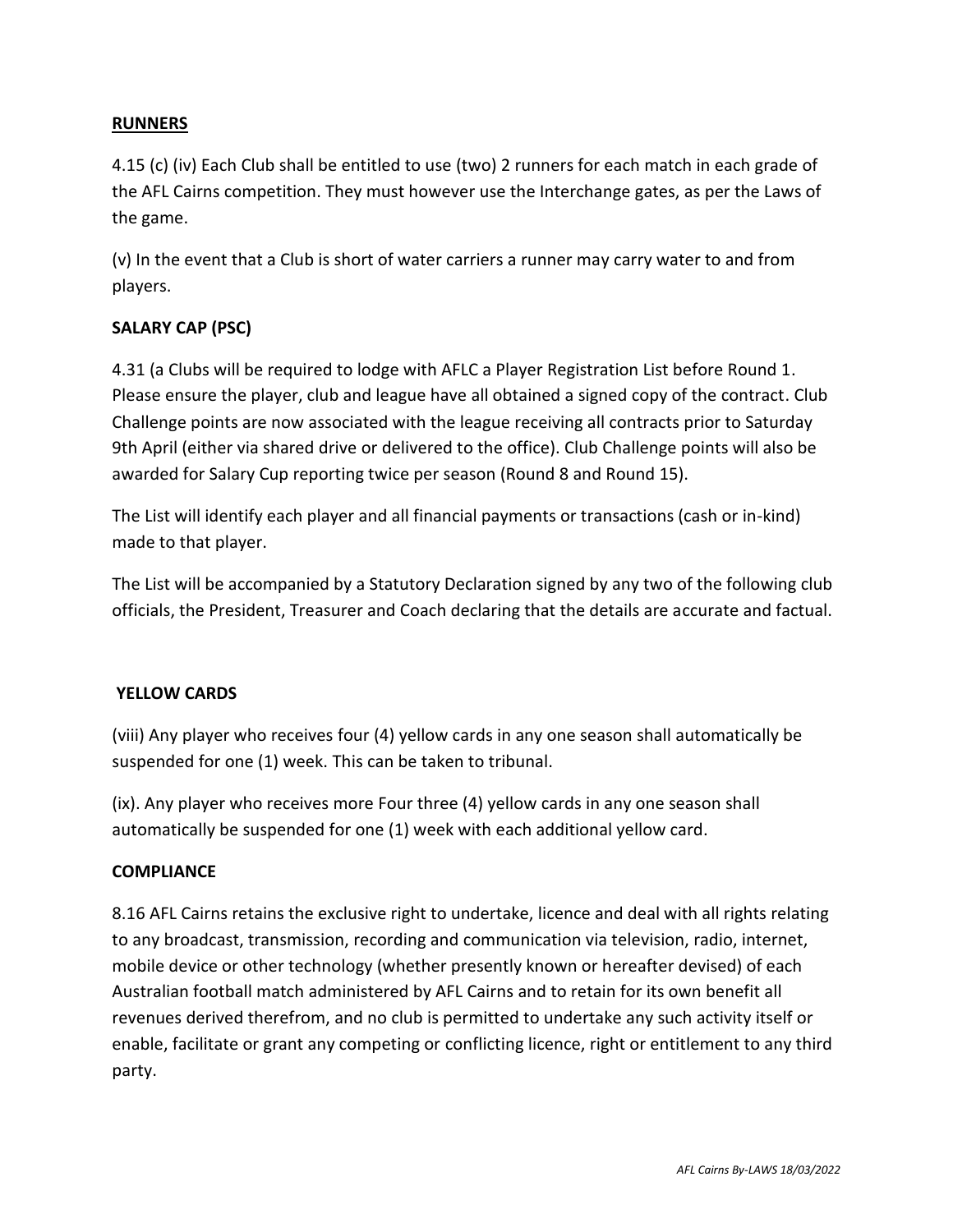# **RUNNERS**

4.15 (c) (iv) Each Club shall be entitled to use (two) 2 runners for each match in each grade of the AFL Cairns competition. They must however use the Interchange gates, as per the Laws of the game.

(v) In the event that a Club is short of water carriers a runner may carry water to and from players.

# **SALARY CAP (PSC)**

4.31 (a Clubs will be required to lodge with AFLC a Player Registration List before Round 1. Please ensure the player, club and league have all obtained a signed copy of the contract. Club Challenge points are now associated with the league receiving all contracts prior to Saturday 9th April (either via shared drive or delivered to the office). Club Challenge points will also be awarded for Salary Cup reporting twice per season (Round 8 and Round 15).

The List will identify each player and all financial payments or transactions (cash or in-kind) made to that player.

The List will be accompanied by a Statutory Declaration signed by any two of the following club officials, the President, Treasurer and Coach declaring that the details are accurate and factual.

## **YELLOW CARDS**

(viii) Any player who receives four (4) yellow cards in any one season shall automatically be suspended for one (1) week. This can be taken to tribunal.

(ix). Any player who receives more Four three (4) yellow cards in any one season shall automatically be suspended for one (1) week with each additional yellow card.

#### **COMPLIANCE**

8.16 AFL Cairns retains the exclusive right to undertake, licence and deal with all rights relating to any broadcast, transmission, recording and communication via television, radio, internet, mobile device or other technology (whether presently known or hereafter devised) of each Australian football match administered by AFL Cairns and to retain for its own benefit all revenues derived therefrom, and no club is permitted to undertake any such activity itself or enable, facilitate or grant any competing or conflicting licence, right or entitlement to any third party.